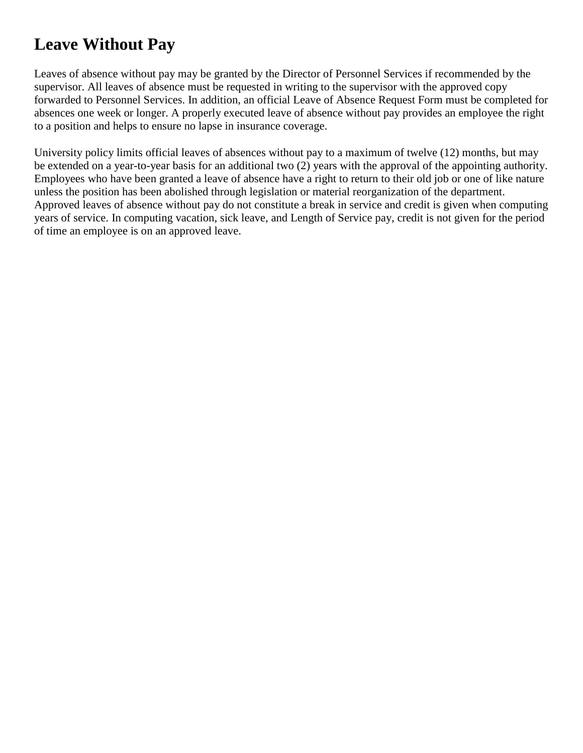## **Leave Without Pay**

Leaves of absence without pay may be granted by the Director of Personnel Services if recommended by the supervisor. All leaves of absence must be requested in writing to the supervisor with the approved copy forwarded to Personnel Services. In addition, an official Leave of Absence Request Form must be completed for absences one week or longer. A properly executed leave of absence without pay provides an employee the right to a position and helps to ensure no lapse in insurance coverage.

University policy limits official leaves of absences without pay to a maximum of twelve (12) months, but may be extended on a year-to-year basis for an additional two (2) years with the approval of the appointing authority. Employees who have been granted a leave of absence have a right to return to their old job or one of like nature unless the position has been abolished through legislation or material reorganization of the department. Approved leaves of absence without pay do not constitute a break in service and credit is given when computing years of service. In computing vacation, sick leave, and Length of Service pay, credit is not given for the period of time an employee is on an approved leave.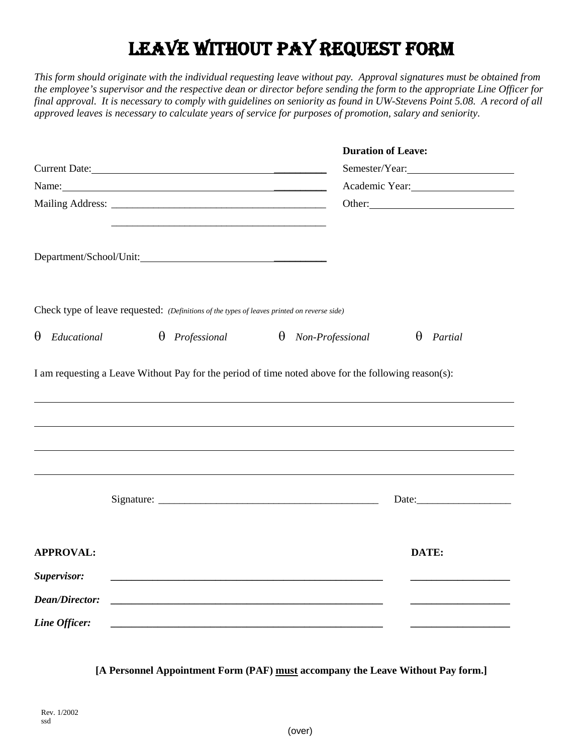## LEAVE WITHOUT PAY REQUEST FORM

*This form should originate with the individual requesting leave without pay. Approval signatures must be obtained from the employee's supervisor and the respective dean or director before sending the form to the appropriate Line Officer for final approval. It is necessary to comply with guidelines on seniority as found in UW-Stevens Point 5.08. A record of all approved leaves is necessary to calculate years of service for purposes of promotion, salary and seniority.*

|                                                                                                                                                                                                                                |                                                                                                                        |                                                                                                     | <b>Duration of Leave:</b>                                                                                            |  |
|--------------------------------------------------------------------------------------------------------------------------------------------------------------------------------------------------------------------------------|------------------------------------------------------------------------------------------------------------------------|-----------------------------------------------------------------------------------------------------|----------------------------------------------------------------------------------------------------------------------|--|
|                                                                                                                                                                                                                                | Current Date: 2008                                                                                                     |                                                                                                     | Semester/Year:                                                                                                       |  |
| Name: Name and the same state of the state of the state of the state of the state of the state of the state of the state of the state of the state of the state of the state of the state of the state of the state of the sta |                                                                                                                        |                                                                                                     | Academic Year:                                                                                                       |  |
|                                                                                                                                                                                                                                |                                                                                                                        |                                                                                                     | Other:                                                                                                               |  |
|                                                                                                                                                                                                                                |                                                                                                                        |                                                                                                     |                                                                                                                      |  |
|                                                                                                                                                                                                                                | Check type of leave requested: (Definitions of the types of leaves printed on reverse side)                            |                                                                                                     |                                                                                                                      |  |
| Educational<br>$\theta$                                                                                                                                                                                                        | $\theta$ Professional                                                                                                  | $\theta$ Non-Professional                                                                           | $\theta$<br>Partial                                                                                                  |  |
|                                                                                                                                                                                                                                |                                                                                                                        | I am requesting a Leave Without Pay for the period of time noted above for the following reason(s): |                                                                                                                      |  |
|                                                                                                                                                                                                                                |                                                                                                                        |                                                                                                     |                                                                                                                      |  |
|                                                                                                                                                                                                                                |                                                                                                                        |                                                                                                     |                                                                                                                      |  |
|                                                                                                                                                                                                                                |                                                                                                                        |                                                                                                     |                                                                                                                      |  |
| <b>APPROVAL:</b>                                                                                                                                                                                                               |                                                                                                                        |                                                                                                     | DATE:                                                                                                                |  |
| Supervisor:                                                                                                                                                                                                                    | <u> 1989 - Johann John Stone, mars et al. 1989 - John Stone, mars et al. 1989 - John Stone, mars et al. 1989 - Joh</u> |                                                                                                     |                                                                                                                      |  |
| <b>Dean/Director:</b>                                                                                                                                                                                                          |                                                                                                                        |                                                                                                     |                                                                                                                      |  |
| Line Officer:                                                                                                                                                                                                                  |                                                                                                                        |                                                                                                     | <u> 1980 - Johann John Stone, mars eta bat eta bat eta bat eta bat eta bat eta bat eta bat eta bat eta bat eta b</u> |  |

**[A Personnel Appointment Form (PAF) must accompany the Leave Without Pay form.]**